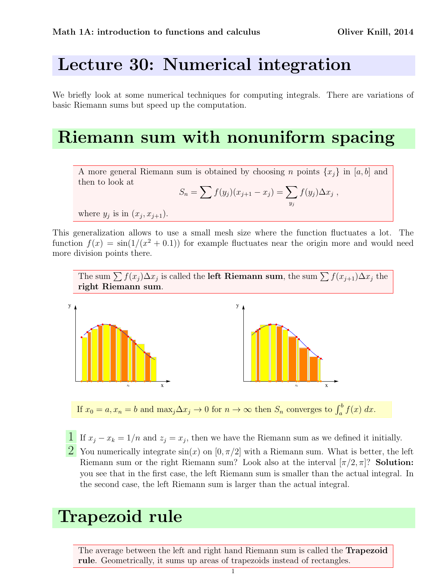## Lecture 30: Numerical integration

We briefly look at some numerical techniques for computing integrals. There are variations of basic Riemann sums but speed up the computation.

### Riemann sum with nonuniform spacing

A more general Riemann sum is obtained by choosing *n* points  $\{x_i\}$  in [a, b] and then to look at

$$
S_n = \sum f(y_j)(x_{j+1} - x_j) = \sum_{y_j} f(y_j) \Delta x_j,
$$

where  $y_j$  is in  $(x_j, x_{j+1})$ .

This generalization allows to use a small mesh size where the function fluctuates a lot. The function  $f(x) = \sin(1/(x^2 + 0.1))$  for example fluctuates near the origin more and would need more division points there.





If  $x_0 = a, x_n = b$  and  $\max_j \Delta x_j \to 0$  for  $n \to \infty$  then  $S_n$  converges to  $\int_a^b f(x) dx$ .

- **1** If  $x_j x_k = 1/n$  and  $z_j = x_j$ , then we have the Riemann sum as we defined it initially.
- 2 You numerically integrate  $sin(x)$  on  $[0, \pi/2]$  with a Riemann sum. What is better, the left Riemann sum or the right Riemann sum? Look also at the interval  $[\pi/2, \pi]$ ? Solution: you see that in the first case, the left Riemann sum is smaller than the actual integral. In the second case, the left Riemann sum is larger than the actual integral.

# Trapezoid rule

The average between the left and right hand Riemann sum is called the Trapezoid rule. Geometrically, it sums up areas of trapezoids instead of rectangles.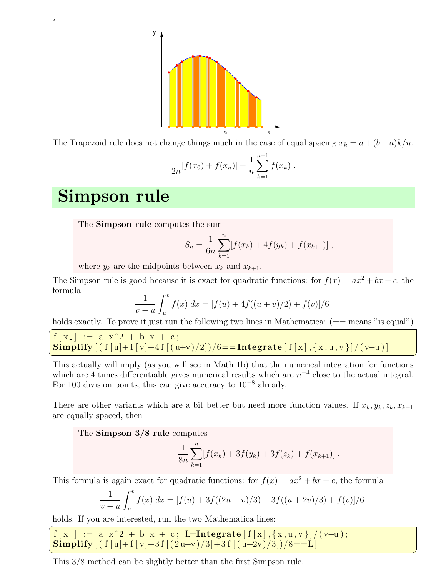

The Trapezoid rule does not change things much in the case of equal spacing  $x_k = a + (b - a)k/n$ .

$$
\frac{1}{2n}[f(x_0) + f(x_n)] + \frac{1}{n}\sum_{k=1}^{n-1} f(x_k).
$$

#### Simpson rule

The Simpson rule computes the sum

$$
S_n = \frac{1}{6n} \sum_{k=1}^n [f(x_k) + 4f(y_k) + f(x_{k+1})],
$$

where  $y_k$  are the midpoints between  $x_k$  and  $x_{k+1}$ .

The Simpson rule is good because it is exact for quadratic functions: for  $f(x) = ax^2 + bx + c$ , the formula

$$
\frac{1}{v-u}\int_u^v f(x) \, dx = [f(u) + 4f((u+v)/2) + f(v)]/6
$$

holds exactly. To prove it just run the following two lines in Mathematica:  $(==$  means "is equal")

$$
\f[x_{-}] := a x^2 + b x + c;
$$
  
Simplify  $[(f[u] + f[v] + 4f[(u+v)/2])/6 ==$ Integrate  $[f[x], \{x, u, v\}]/(v-u)]$ 

This actually will imply (as you will see in Math 1b) that the numerical integration for functions which are 4 times differentiable gives numerical results which are  $n^{-4}$  close to the actual integral. For 100 division points, this can give accuracy to  $10^{-8}$  already.

There are other variants which are a bit better but need more function values. If  $x_k, y_k, z_k, x_{k+1}$ are equally spaced, then

The Simpson 3/8 rule computes

$$
\frac{1}{8n} \sum_{k=1}^{n} [f(x_k) + 3f(y_k) + 3f(z_k) + f(x_{k+1})].
$$

This formula is again exact for quadratic functions: for  $f(x) = ax^2 + bx + c$ , the formula

$$
\frac{1}{v-u}\int_u^v f(x) dx = [f(u) + 3f((2u+v)/3) + 3f((u+2v)/3) + f(v)]/6
$$

holds. If you are interested, run the two Mathematica lines:

 $\overline{a}$  $f[x_+] := a x^2 + b x + c$ ; L=Integrate  $[f[x], {x, u, v}] / (v-u)$ ; Simplify  $[(f [u]+f[v]+3f [(2u+v)/3]+3f [(u+2v)/3])/8=-L]$ ✝ ✆

This 3/8 method can be slightly better than the first Simpson rule.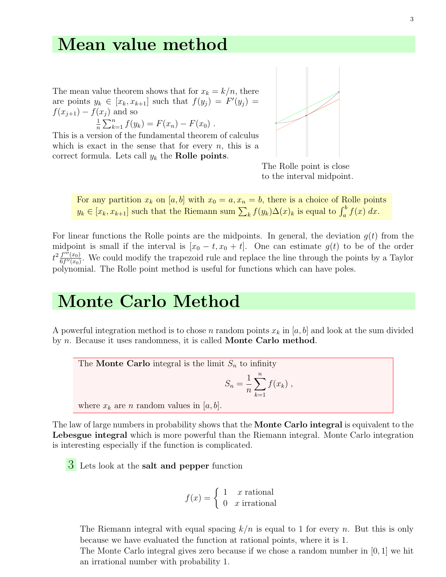#### Mean value method

The mean value theorem shows that for  $x_k = k/n$ , there are points  $y_k \in [x_k, x_{k+1}]$  such that  $f(y_j) = F'(y_j) =$  $f(x_{i+1}) - f(x_i)$  and so 1

 $\frac{1}{n}\sum_{k=1}^{n}f(y_k) = F(x_n) - F(x_0)$ .

This is a version of the fundamental theorem of calculus which is exact in the sense that for every  $n$ , this is a correct formula. Lets call  $y_k$  the **Rolle points**.



The Rolle point is close to the interval midpoint.

For any partition  $x_k$  on [a, b] with  $x_0 = a, x_n = b$ , there is a choice of Rolle points  $y_k \in [x_k, x_{k+1}]$  such that the Riemann sum  $\sum_k f(y_k) \Delta(x)_k$  is equal to  $\int_a^b f(x) dx$ .

For linear functions the Rolle points are the midpoints. In general, the deviation  $g(t)$  from the midpoint is small if the interval is  $[x_0 - t, x_0 + t]$ . One can estimate  $g(t)$  to be of the order  $t^2 \frac{f'''(x_0)}{6f''(x_0)}$  $\frac{f'''(x_0)}{6f''(x_0)}$ . We could modify the trapezoid rule and replace the line through the points by a Taylor polynomial. The Rolle point method is useful for functions which can have poles.

### Monte Carlo Method

A powerful integration method is to chose n random points  $x_k$  in  $[a, b]$  and look at the sum divided by n. Because it uses randomness, it is called Monte Carlo method.

The **Monte Carlo** integral is the limit  $S_n$  to infinity

$$
S_n = \frac{1}{n} \sum_{k=1}^n f(x_k) ,
$$

where  $x_k$  are n random values in  $[a, b]$ .

The law of large numbers in probability shows that the **Monte Carlo integral** is equivalent to the Lebesgue integral which is more powerful than the Riemann integral. Monte Carlo integration is interesting especially if the function is complicated.

3 Lets look at the salt and pepper function

$$
f(x) = \begin{cases} 1 & x \text{ rational} \\ 0 & x \text{ irrational} \end{cases}
$$

The Riemann integral with equal spacing  $k/n$  is equal to 1 for every n. But this is only because we have evaluated the function at rational points, where it is 1.

The Monte Carlo integral gives zero because if we chose a random number in [0, 1] we hit an irrational number with probability 1.